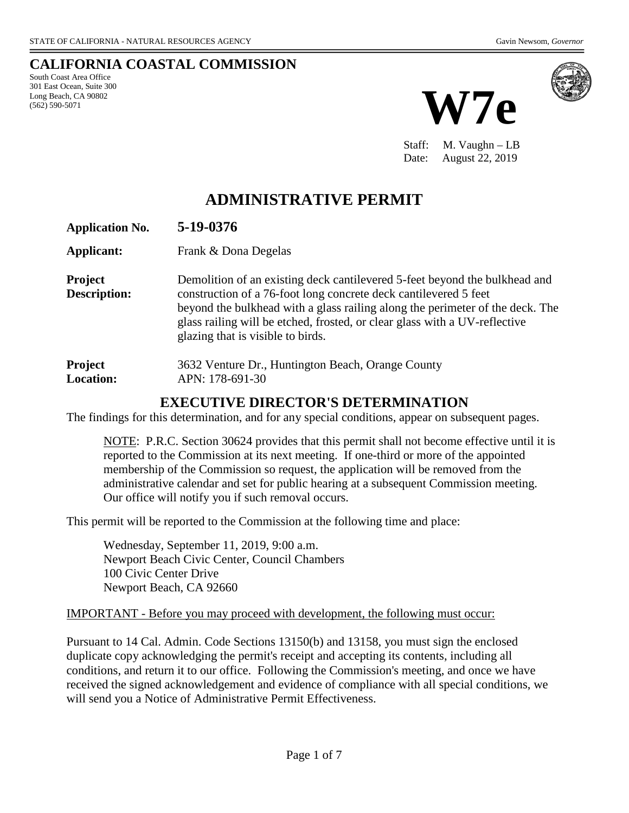# **CALIFORNIA COASTAL COMMISSION**

South Coast Area Office 301 East Ocean, Suite 300 Long Beach, CA 90802 (562) 590-5071





Staff: M. Vaughn – LB Date: August 22, 2019

# **ADMINISTRATIVE PERMIT**

| <b>Application No.</b>         | 5-19-0376                                                                                                                                                                                                                                                                                                                                          |
|--------------------------------|----------------------------------------------------------------------------------------------------------------------------------------------------------------------------------------------------------------------------------------------------------------------------------------------------------------------------------------------------|
| Applicant:                     | Frank & Dona Degelas                                                                                                                                                                                                                                                                                                                               |
| <b>Project</b><br>Description: | Demolition of an existing deck cantilevered 5-feet beyond the bulkhead and<br>construction of a 76-foot long concrete deck cantilevered 5 feet<br>beyond the bulkhead with a glass railing along the perimeter of the deck. The<br>glass railing will be etched, frosted, or clear glass with a UV-reflective<br>glazing that is visible to birds. |
| Project<br><b>Location:</b>    | 3632 Venture Dr., Huntington Beach, Orange County<br>APN: 178-691-30                                                                                                                                                                                                                                                                               |

## **EXECUTIVE DIRECTOR'S DETERMINATION**

The findings for this determination, and for any special conditions, appear on subsequent pages.

NOTE: P.R.C. Section 30624 provides that this permit shall not become effective until it is reported to the Commission at its next meeting. If one-third or more of the appointed membership of the Commission so request, the application will be removed from the administrative calendar and set for public hearing at a subsequent Commission meeting. Our office will notify you if such removal occurs.

This permit will be reported to the Commission at the following time and place:

Wednesday, September 11, 2019, 9:00 a.m. Newport Beach Civic Center, Council Chambers 100 Civic Center Drive Newport Beach, CA 92660

#### IMPORTANT - Before you may proceed with development, the following must occur:

Pursuant to 14 Cal. Admin. Code Sections 13150(b) and 13158, you must sign the enclosed duplicate copy acknowledging the permit's receipt and accepting its contents, including all conditions, and return it to our office. Following the Commission's meeting, and once we have received the signed acknowledgement and evidence of compliance with all special conditions, we will send you a Notice of Administrative Permit Effectiveness.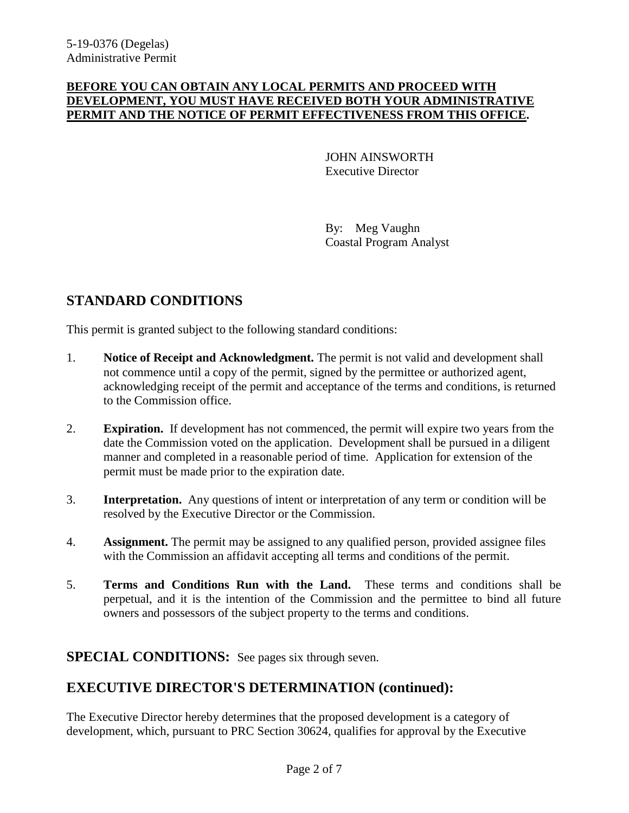#### **BEFORE YOU CAN OBTAIN ANY LOCAL PERMITS AND PROCEED WITH DEVELOPMENT, YOU MUST HAVE RECEIVED BOTH YOUR ADMINISTRATIVE PERMIT AND THE NOTICE OF PERMIT EFFECTIVENESS FROM THIS OFFICE.**

JOHN AINSWORTH Executive Director

By: Meg Vaughn Coastal Program Analyst

# **STANDARD CONDITIONS**

This permit is granted subject to the following standard conditions:

- 1. **Notice of Receipt and Acknowledgment.** The permit is not valid and development shall not commence until a copy of the permit, signed by the permittee or authorized agent, acknowledging receipt of the permit and acceptance of the terms and conditions, is returned to the Commission office.
- 2. **Expiration.** If development has not commenced, the permit will expire two years from the date the Commission voted on the application. Development shall be pursued in a diligent manner and completed in a reasonable period of time. Application for extension of the permit must be made prior to the expiration date.
- 3. **Interpretation.** Any questions of intent or interpretation of any term or condition will be resolved by the Executive Director or the Commission.
- 4. **Assignment.** The permit may be assigned to any qualified person, provided assignee files with the Commission an affidavit accepting all terms and conditions of the permit.
- 5. **Terms and Conditions Run with the Land.** These terms and conditions shall be perpetual, and it is the intention of the Commission and the permittee to bind all future owners and possessors of the subject property to the terms and conditions.

### **SPECIAL CONDITIONS:** See pages six through seven.

# **EXECUTIVE DIRECTOR'S DETERMINATION (continued):**

The Executive Director hereby determines that the proposed development is a category of development, which, pursuant to PRC Section 30624, qualifies for approval by the Executive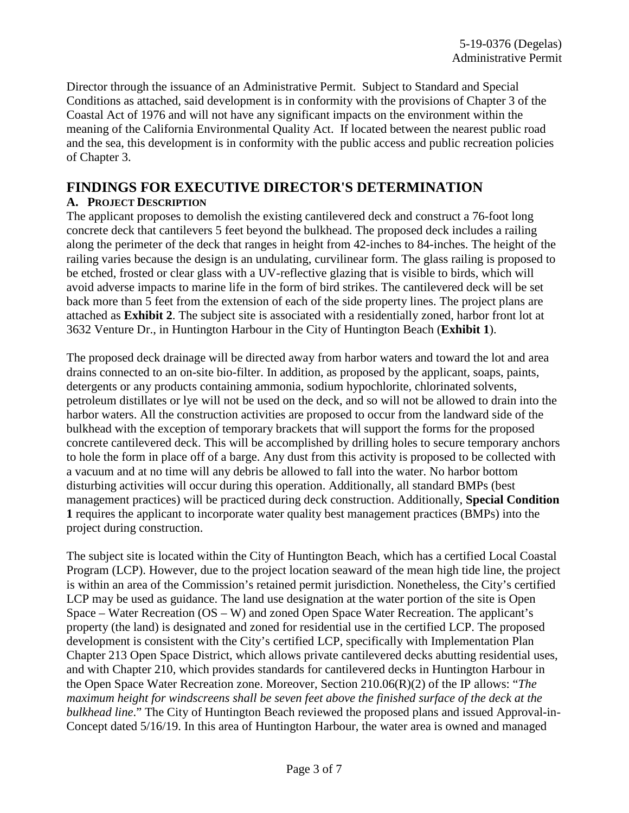Director through the issuance of an Administrative Permit. Subject to Standard and Special Conditions as attached, said development is in conformity with the provisions of Chapter 3 of the Coastal Act of 1976 and will not have any significant impacts on the environment within the meaning of the California Environmental Quality Act. If located between the nearest public road and the sea, this development is in conformity with the public access and public recreation policies of Chapter 3.

## **FINDINGS FOR EXECUTIVE DIRECTOR'S DETERMINATION**

#### **A. PROJECT DESCRIPTION**

The applicant proposes to demolish the existing cantilevered deck and construct a 76-foot long concrete deck that cantilevers 5 feet beyond the bulkhead. The proposed deck includes a railing along the perimeter of the deck that ranges in height from 42-inches to 84-inches. The height of the railing varies because the design is an undulating, curvilinear form. The glass railing is proposed to be etched, frosted or clear glass with a UV-reflective glazing that is visible to birds, which will avoid adverse impacts to marine life in the form of bird strikes. The cantilevered deck will be set back more than 5 feet from the extension of each of the side property lines. The project plans are attached as **Exhibit 2**. The subject site is associated with a residentially zoned, harbor front lot at 3632 Venture Dr., in Huntington Harbour in the City of Huntington Beach (**Exhibit 1**).

The proposed deck drainage will be directed away from harbor waters and toward the lot and area drains connected to an on-site bio-filter. In addition, as proposed by the applicant, soaps, paints, detergents or any products containing ammonia, sodium hypochlorite, chlorinated solvents, petroleum distillates or lye will not be used on the deck, and so will not be allowed to drain into the harbor waters. All the construction activities are proposed to occur from the landward side of the bulkhead with the exception of temporary brackets that will support the forms for the proposed concrete cantilevered deck. This will be accomplished by drilling holes to secure temporary anchors to hole the form in place off of a barge. Any dust from this activity is proposed to be collected with a vacuum and at no time will any debris be allowed to fall into the water. No harbor bottom disturbing activities will occur during this operation. Additionally, all standard BMPs (best management practices) will be practiced during deck construction. Additionally, **Special Condition 1** requires the applicant to incorporate water quality best management practices (BMPs) into the project during construction.

The subject site is located within the City of Huntington Beach, which has a certified Local Coastal Program (LCP). However, due to the project location seaward of the mean high tide line, the project is within an area of the Commission's retained permit jurisdiction. Nonetheless, the City's certified LCP may be used as guidance. The land use designation at the water portion of the site is Open Space – Water Recreation (OS – W) and zoned Open Space Water Recreation. The applicant's property (the land) is designated and zoned for residential use in the certified LCP. The proposed development is consistent with the City's certified LCP, specifically with Implementation Plan Chapter 213 Open Space District, which allows private cantilevered decks abutting residential uses, and with Chapter 210, which provides standards for cantilevered decks in Huntington Harbour in the Open Space Water Recreation zone. Moreover, Section 210.06(R)(2) of the IP allows: "*The maximum height for windscreens shall be seven feet above the finished surface of the deck at the bulkhead line*." The City of Huntington Beach reviewed the proposed plans and issued Approval-in-Concept dated 5/16/19. In this area of Huntington Harbour, the water area is owned and managed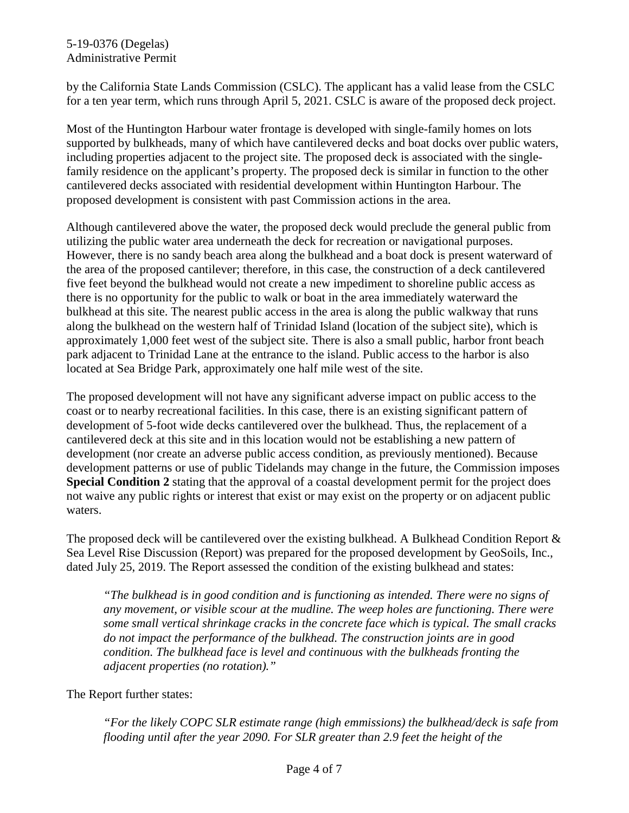by the California State Lands Commission (CSLC). The applicant has a valid lease from the CSLC for a ten year term, which runs through April 5, 2021. CSLC is aware of the proposed deck project.

Most of the Huntington Harbour water frontage is developed with single-family homes on lots supported by bulkheads, many of which have cantilevered decks and boat docks over public waters, including properties adjacent to the project site. The proposed deck is associated with the singlefamily residence on the applicant's property. The proposed deck is similar in function to the other cantilevered decks associated with residential development within Huntington Harbour. The proposed development is consistent with past Commission actions in the area.

Although cantilevered above the water, the proposed deck would preclude the general public from utilizing the public water area underneath the deck for recreation or navigational purposes. However, there is no sandy beach area along the bulkhead and a boat dock is present waterward of the area of the proposed cantilever; therefore, in this case, the construction of a deck cantilevered five feet beyond the bulkhead would not create a new impediment to shoreline public access as there is no opportunity for the public to walk or boat in the area immediately waterward the bulkhead at this site. The nearest public access in the area is along the public walkway that runs along the bulkhead on the western half of Trinidad Island (location of the subject site), which is approximately 1,000 feet west of the subject site. There is also a small public, harbor front beach park adjacent to Trinidad Lane at the entrance to the island. Public access to the harbor is also located at Sea Bridge Park, approximately one half mile west of the site.

The proposed development will not have any significant adverse impact on public access to the coast or to nearby recreational facilities. In this case, there is an existing significant pattern of development of 5-foot wide decks cantilevered over the bulkhead. Thus, the replacement of a cantilevered deck at this site and in this location would not be establishing a new pattern of development (nor create an adverse public access condition, as previously mentioned). Because development patterns or use of public Tidelands may change in the future, the Commission imposes **Special Condition 2** stating that the approval of a coastal development permit for the project does not waive any public rights or interest that exist or may exist on the property or on adjacent public waters.

The proposed deck will be cantilevered over the existing bulkhead. A Bulkhead Condition Report & Sea Level Rise Discussion (Report) was prepared for the proposed development by GeoSoils, Inc., dated July 25, 2019. The Report assessed the condition of the existing bulkhead and states:

*"The bulkhead is in good condition and is functioning as intended. There were no signs of any movement, or visible scour at the mudline. The weep holes are functioning. There were some small vertical shrinkage cracks in the concrete face which is typical. The small cracks do not impact the performance of the bulkhead. The construction joints are in good condition. The bulkhead face is level and continuous with the bulkheads fronting the adjacent properties (no rotation)."*

The Report further states:

*"For the likely COPC SLR estimate range (high emmissions) the bulkhead/deck is safe from flooding until after the year 2090. For SLR greater than 2.9 feet the height of the*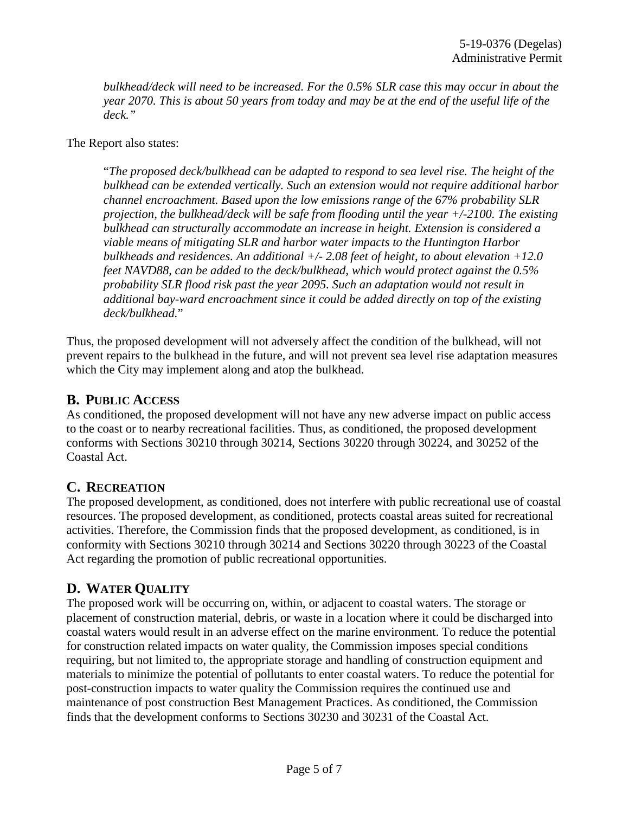*bulkhead/deck will need to be increased. For the 0.5% SLR case this may occur in about the year 2070. This is about 50 years from today and may be at the end of the useful life of the deck."*

The Report also states:

"*The proposed deck/bulkhead can be adapted to respond to sea level rise. The height of the bulkhead can be extended vertically. Such an extension would not require additional harbor channel encroachment. Based upon the low emissions range of the 67% probability SLR projection, the bulkhead/deck will be safe from flooding until the year +/-2100. The existing bulkhead can structurally accommodate an increase in height. Extension is considered a viable means of mitigating SLR and harbor water impacts to the Huntington Harbor bulkheads and residences. An additional +/- 2.08 feet of height, to about elevation +12.0 feet NAVD88, can be added to the deck/bulkhead, which would protect against the 0.5% probability SLR flood risk past the year 2095. Such an adaptation would not result in additional bay-ward encroachment since it could be added directly on top of the existing deck/bulkhead.*"

Thus, the proposed development will not adversely affect the condition of the bulkhead, will not prevent repairs to the bulkhead in the future, and will not prevent sea level rise adaptation measures which the City may implement along and atop the bulkhead.

### **B. PUBLIC ACCESS**

As conditioned, the proposed development will not have any new adverse impact on public access to the coast or to nearby recreational facilities. Thus, as conditioned, the proposed development conforms with Sections 30210 through 30214, Sections 30220 through 30224, and 30252 of the Coastal Act.

## **C. RECREATION**

The proposed development, as conditioned, does not interfere with public recreational use of coastal resources. The proposed development, as conditioned, protects coastal areas suited for recreational activities. Therefore, the Commission finds that the proposed development, as conditioned, is in conformity with Sections 30210 through 30214 and Sections 30220 through 30223 of the Coastal Act regarding the promotion of public recreational opportunities.

## **D. WATER QUALITY**

The proposed work will be occurring on, within, or adjacent to coastal waters. The storage or placement of construction material, debris, or waste in a location where it could be discharged into coastal waters would result in an adverse effect on the marine environment. To reduce the potential for construction related impacts on water quality, the Commission imposes special conditions requiring, but not limited to, the appropriate storage and handling of construction equipment and materials to minimize the potential of pollutants to enter coastal waters. To reduce the potential for post-construction impacts to water quality the Commission requires the continued use and maintenance of post construction Best Management Practices. As conditioned, the Commission finds that the development conforms to Sections 30230 and 30231 of the Coastal Act.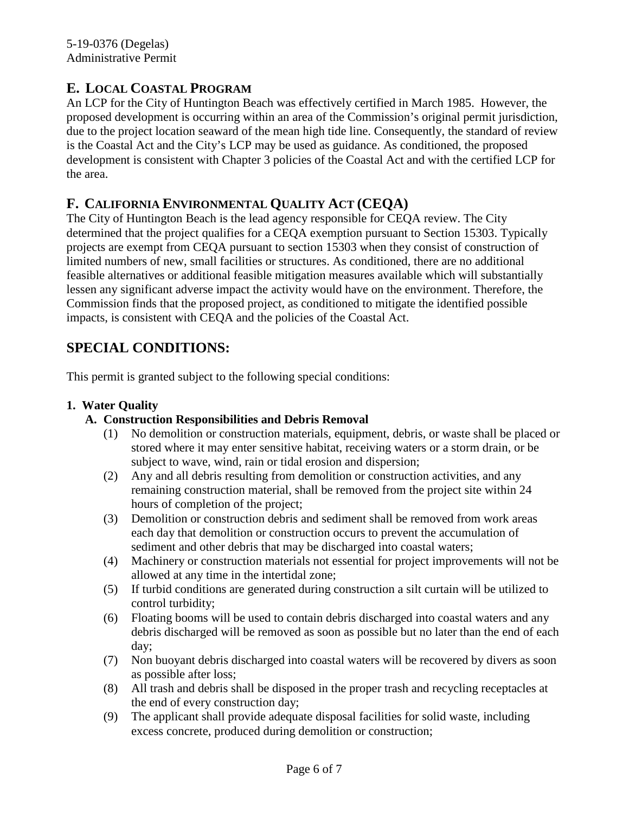## **E. LOCAL COASTAL PROGRAM**

An LCP for the City of Huntington Beach was effectively certified in March 1985. However, the proposed development is occurring within an area of the Commission's original permit jurisdiction, due to the project location seaward of the mean high tide line. Consequently, the standard of review is the Coastal Act and the City's LCP may be used as guidance. As conditioned, the proposed development is consistent with Chapter 3 policies of the Coastal Act and with the certified LCP for the area.

## **F. CALIFORNIA ENVIRONMENTAL QUALITY ACT (CEQA)**

The City of Huntington Beach is the lead agency responsible for CEQA review. The City determined that the project qualifies for a CEQA exemption pursuant to Section 15303. Typically projects are exempt from CEQA pursuant to section 15303 when they consist of construction of limited numbers of new, small facilities or structures. As conditioned, there are no additional feasible alternatives or additional feasible mitigation measures available which will substantially lessen any significant adverse impact the activity would have on the environment. Therefore, the Commission finds that the proposed project, as conditioned to mitigate the identified possible impacts, is consistent with CEQA and the policies of the Coastal Act.

# **SPECIAL CONDITIONS:**

This permit is granted subject to the following special conditions:

#### **1. Water Quality**

#### **A. Construction Responsibilities and Debris Removal**

- (1) No demolition or construction materials, equipment, debris, or waste shall be placed or stored where it may enter sensitive habitat, receiving waters or a storm drain, or be subject to wave, wind, rain or tidal erosion and dispersion;
- (2) Any and all debris resulting from demolition or construction activities, and any remaining construction material, shall be removed from the project site within 24 hours of completion of the project;
- (3) Demolition or construction debris and sediment shall be removed from work areas each day that demolition or construction occurs to prevent the accumulation of sediment and other debris that may be discharged into coastal waters;
- (4) Machinery or construction materials not essential for project improvements will not be allowed at any time in the intertidal zone;
- (5) If turbid conditions are generated during construction a silt curtain will be utilized to control turbidity;
- (6) Floating booms will be used to contain debris discharged into coastal waters and any debris discharged will be removed as soon as possible but no later than the end of each day;
- (7) Non buoyant debris discharged into coastal waters will be recovered by divers as soon as possible after loss;
- (8) All trash and debris shall be disposed in the proper trash and recycling receptacles at the end of every construction day;
- (9) The applicant shall provide adequate disposal facilities for solid waste, including excess concrete, produced during demolition or construction;